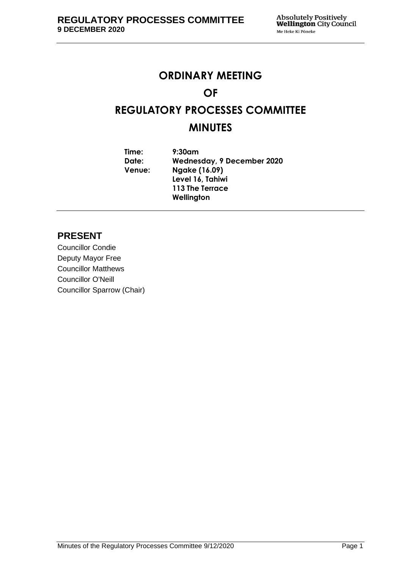# **ORDINARY MEETING OF REGULATORY PROCESSES COMMITTEE MINUTES**

**Time: 9:30am Date: Wednesday, 9 December 2020 Venue: Ngake (16.09) Level 16, Tahiwi 113 The Terrace Wellington**

# **PRESENT**

Councillor Condie Deputy Mayor Free Councillor Matthews Councillor O'Neill Councillor Sparrow (Chair)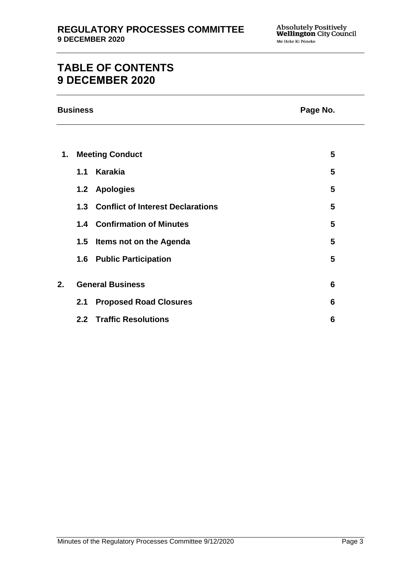# **TABLE OF CONTENTS 9 DECEMBER 2020**

|  | <b>Business</b> |
|--|-----------------|
|  |                 |

## **Page No.**

| 1. | <b>Meeting Conduct</b>  |                                       |   |
|----|-------------------------|---------------------------------------|---|
|    | 1.1                     | Karakia                               | 5 |
|    |                         | 1.2 Apologies                         | 5 |
|    |                         | 1.3 Conflict of Interest Declarations | 5 |
|    |                         | <b>1.4 Confirmation of Minutes</b>    | 5 |
|    | 1.5                     | Items not on the Agenda               | 5 |
|    |                         | <b>1.6 Public Participation</b>       | 5 |
|    |                         |                                       |   |
| 2. | <b>General Business</b> |                                       |   |
|    | $2.1\,$                 | <b>Proposed Road Closures</b>         | 6 |
|    |                         | 2.2 Traffic Resolutions               | 6 |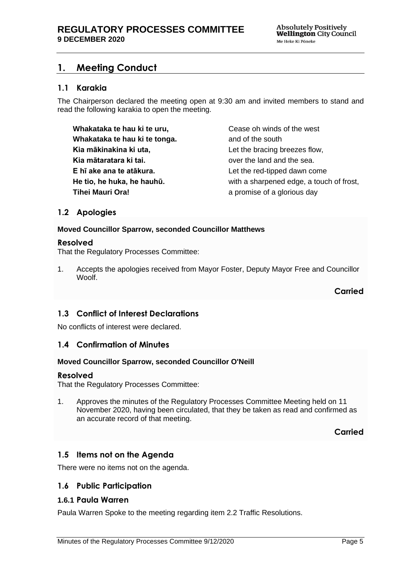# <span id="page-4-0"></span>**1. Meeting Conduct**

## **1.1 Karakia**

The Chairperson declared the meeting open at 9:30 am and invited members to stand and read the following karakia to open the meeting.

**Whakataka te hau ki te uru, Whakataka te hau ki te tonga. Kia mākinakina ki uta, Kia mātaratara ki tai. E hī ake ana te atākura. He tio, he huka, he hauhū. Tihei Mauri Ora!**

Cease oh winds of the west and of the south Let the bracing breezes flow, over the land and the sea. Let the red-tipped dawn come with a sharpened edge, a touch of frost, a promise of a glorious day

## <span id="page-4-1"></span>**1.2 Apologies**

#### **Moved Councillor Sparrow, seconded Councillor Matthews**

#### **Resolved**

That the Regulatory Processes Committee:

1. Accepts the apologies received from Mayor Foster, Deputy Mayor Free and Councillor Woolf.

**Carried**

## <span id="page-4-2"></span>**1.3 Conflict of Interest Declarations**

No conflicts of interest were declared.

## <span id="page-4-3"></span>**1.4 Confirmation of Minutes**

#### **Moved Councillor Sparrow, seconded Councillor O'Neill**

#### **Resolved**

That the Regulatory Processes Committee:

1. Approves the minutes of the Regulatory Processes Committee Meeting held on 11 November 2020, having been circulated, that they be taken as read and confirmed as an accurate record of that meeting.

**Carried**

## <span id="page-4-4"></span>**1.5 Items not on the Agenda**

There were no items not on the agenda.

## **1.6 Public Participation**

## **1.6.1 Paula Warren**

Paula Warren Spoke to the meeting regarding item 2.2 Traffic Resolutions.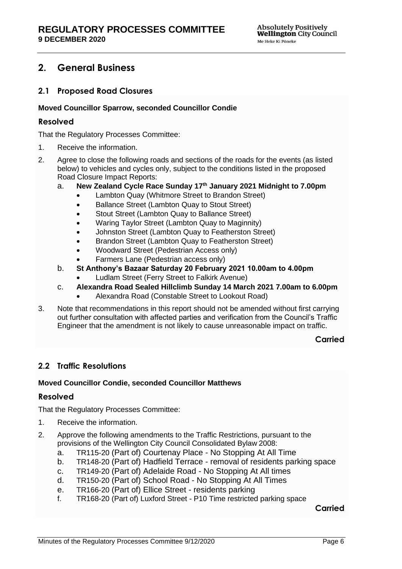# <span id="page-5-0"></span>**2. General Business**

## <span id="page-5-1"></span>**2.1 Proposed Road Closures**

## **Moved Councillor Sparrow, seconded Councillor Condie**

## **Resolved**

That the Regulatory Processes Committee:

- 1. Receive the information.
- 2. Agree to close the following roads and sections of the roads for the events (as listed below) to vehicles and cycles only, subject to the conditions listed in the proposed Road Closure Impact Reports:
	- a. **New Zealand Cycle Race Sunday 17th January 2021 Midnight to 7.00pm**
		- Lambton Quay (Whitmore Street to Brandon Street)
		- Ballance Street (Lambton Quay to Stout Street)
		- Stout Street (Lambton Quay to Ballance Street)
		- Waring Taylor Street (Lambton Quay to Maginnity)
		- Johnston Street (Lambton Quay to Featherston Street)
		- Brandon Street (Lambton Quay to Featherston Street)
		- Woodward Street (Pedestrian Access only)
		- Farmers Lane (Pedestrian access only)
	- b. **St Anthony's Bazaar Saturday 20 February 2021 10.00am to 4.00pm**
		- Ludlam Street (Ferry Street to Falkirk Avenue)
	- c. **Alexandra Road Sealed Hillclimb Sunday 14 March 2021 7.00am to 6.00pm**
		- Alexandra Road (Constable Street to Lookout Road)
- 3. Note that recommendations in this report should not be amended without first carrying out further consultation with affected parties and verification from the Council's Traffic Engineer that the amendment is not likely to cause unreasonable impact on traffic.

#### **Carried**

## <span id="page-5-2"></span>**2.2 Traffic Resolutions**

#### **Moved Councillor Condie, seconded Councillor Matthews**

#### **Resolved**

That the Regulatory Processes Committee:

- 1. Receive the information.
- 2. Approve the following amendments to the Traffic Restrictions, pursuant to the provisions of the Wellington City Council Consolidated Bylaw 2008:
	- a. TR115-20 (Part of) Courtenay Place No Stopping At All Time
	- b. TR148-20 (Part of) Hadfield Terrace removal of residents parking space
	- c. TR149-20 (Part of) Adelaide Road No Stopping At All times
	- d. TR150-20 (Part of) School Road No Stopping At All Times
	- e. TR166-20 (Part of) Ellice Street residents parking
	- f. TR168-20 (Part of) Luxford Street P10 Time restricted parking space

**Carried**